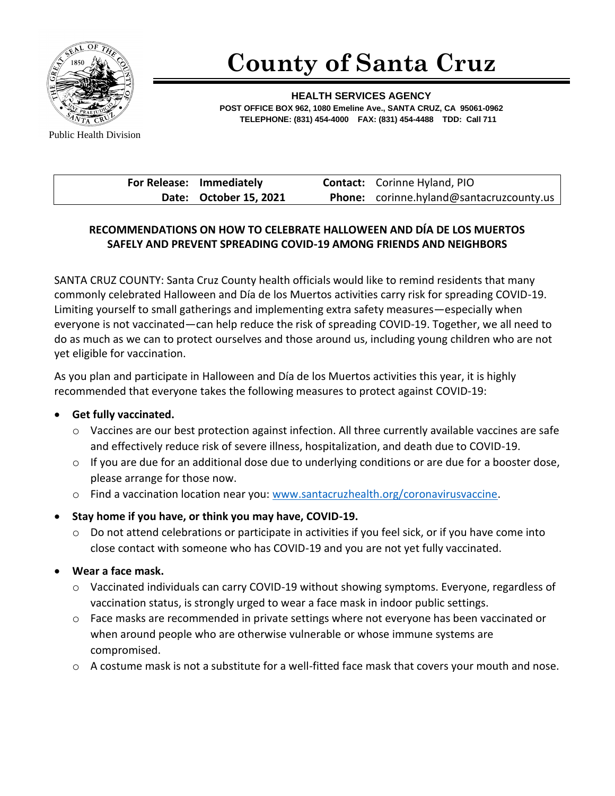

# **County of Santa Cruz**

**HEALTH SERVICES AGENCY POST OFFICE BOX 962, 1080 Emeline Ave., SANTA CRUZ, CA 95061-0962 TELEPHONE: (831) 454-4000 FAX: (831) 454-4488 TDD: Call 711**

Public Health Division

| For Release: Immediately | <b>Contact:</b> Corinne Hyland, PIO      |
|--------------------------|------------------------------------------|
| Date: October 15, 2021   | Phone: corinne.hyland@santacruzcounty.us |

# **RECOMMENDATIONS ON HOW TO CELEBRATE HALLOWEEN AND DÍA DE LOS MUERTOS SAFELY AND PREVENT SPREADING COVID-19 AMONG FRIENDS AND NEIGHBORS**

SANTA CRUZ COUNTY: Santa Cruz County health officials would like to remind residents that many commonly celebrated Halloween and Día de los Muertos activities carry risk for spreading COVID-19. Limiting yourself to small gatherings and implementing extra safety measures—especially when everyone is not vaccinated—can help reduce the risk of spreading COVID-19. Together, we all need to do as much as we can to protect ourselves and those around us, including young children who are not yet eligible for vaccination.

As you plan and participate in Halloween and Día de los Muertos activities this year, it is highly recommended that everyone takes the following measures to protect against COVID-19:

#### • **Get fully vaccinated.**

- o Vaccines are our best protection against infection. All three currently available vaccines are safe and effectively reduce risk of severe illness, hospitalization, and death due to COVID-19.
- $\circ$  If you are due for an additional dose due to underlying conditions or are due for a booster dose, please arrange for those now.
- o Find a vaccination location near you: [www.santacruzhealth.org/coronavirusvaccine.](http://www.santacruzhealth.org/coronavirusvaccine)

# • **Stay home if you have, or think you may have, COVID-19.**

- o Do not attend celebrations or participate in activities if you feel sick, or if you have come into close contact with someone who has COVID-19 and you are not yet fully vaccinated.
- **Wear a face mask.** 
	- o Vaccinated individuals can carry COVID-19 without showing symptoms. Everyone, regardless of vaccination status, is strongly urged to wear a face mask in indoor public settings.
	- o Face masks are recommended in private settings where not everyone has been vaccinated or when around people who are otherwise vulnerable or whose immune systems are compromised.
	- $\circ$  A costume mask is not a substitute for a well-fitted face mask that covers your mouth and nose.